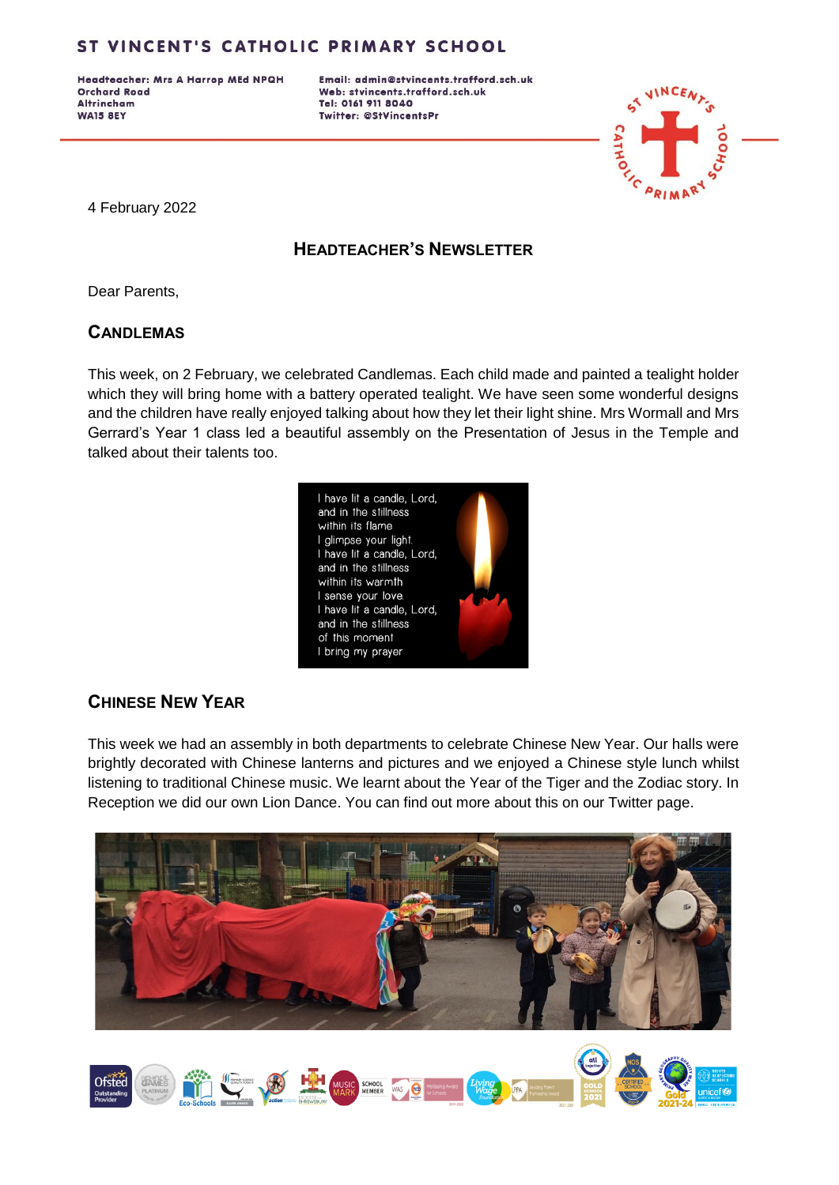Headteacher: Mrs A Harrop MEd NPQH **Orchard Road Altrincham WA15 8EY** 

Email: admin@stvincents.trafford.sch.uk Web: stvincents.trafford.sch.uk Tel: 0161 911 8040 Twitter: @StVincentsPr



4 February 2022

### **HEADTEACHER'S NEWSLETTER**

Dear Parents,

#### **CANDLEMAS**

This week, on 2 February, we celebrated Candlemas. Each child made and painted a tealight holder which they will bring home with a battery operated tealight. We have seen some wonderful designs and the children have really enjoyed talking about how they let their light shine. Mrs Wormall and Mrs Gerrard's Year 1 class led a beautiful assembly on the Presentation of Jesus in the Temple and talked about their talents too.



### **CHINESE NEW YEAR**

This week we had an assembly in both departments to celebrate Chinese New Year. Our halls were brightly decorated with Chinese lanterns and pictures and we enjoyed a Chinese style lunch whilst listening to traditional Chinese music. We learnt about the Year of the Tiger and the Zodiac story. In Reception we did our own Lion Dance. You can find out more about this on our Twitter page.



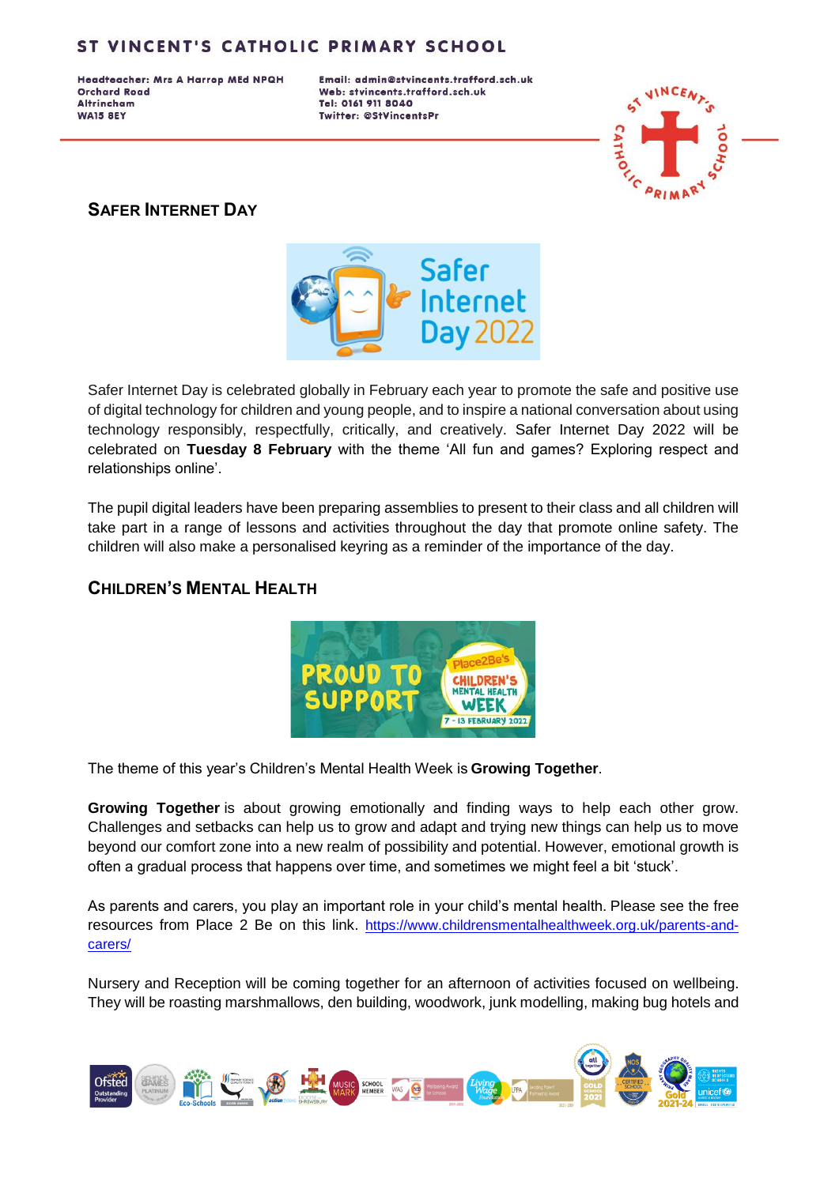Headteacher: Mrs A Harrop MEd NPQH **Orchard Road Altrincham WA15 8EY** 

Email: admin@stvincents.trafford.sch.uk Web: stvincents.trafford.sch.uk Tel: 0161 911 8040 Twitter: @StVincentsPr



#### **SAFER INTERNET DAY**



Safer Internet Day is celebrated globally in February each year to promote the safe and positive use of digital technology for children and young people, and to inspire a national conversation about using technology responsibly, respectfully, critically, and creatively. Safer Internet Day 2022 will be celebrated on **Tuesday 8 February** with the theme 'All fun and games? Exploring respect and relationships online'.

The pupil digital leaders have been preparing assemblies to present to their class and all children will take part in a range of lessons and activities throughout the day that promote online safety. The children will also make a personalised keyring as a reminder of the importance of the day.

#### **CHILDREN'S MENTAL HEALTH**



The theme of this year's Children's Mental Health Week is **Growing Together**.

**Growing Together** is about growing emotionally and finding ways to help each other grow. Challenges and setbacks can help us to grow and adapt and trying new things can help us to move beyond our comfort zone into a new realm of possibility and potential. However, emotional growth is often a gradual process that happens over time, and sometimes we might feel a bit 'stuck'.

As parents and carers, you play an important role in your child's mental health. Please see the free resources from Place 2 Be on this link. [https://www.childrensmentalhealthweek.org.uk/parents-and](https://www.childrensmentalhealthweek.org.uk/parents-and-carers/)[carers/](https://www.childrensmentalhealthweek.org.uk/parents-and-carers/)

Nursery and Reception will be coming together for an afternoon of activities focused on wellbeing. They will be roasting marshmallows, den building, woodwork, junk modelling, making bug hotels and

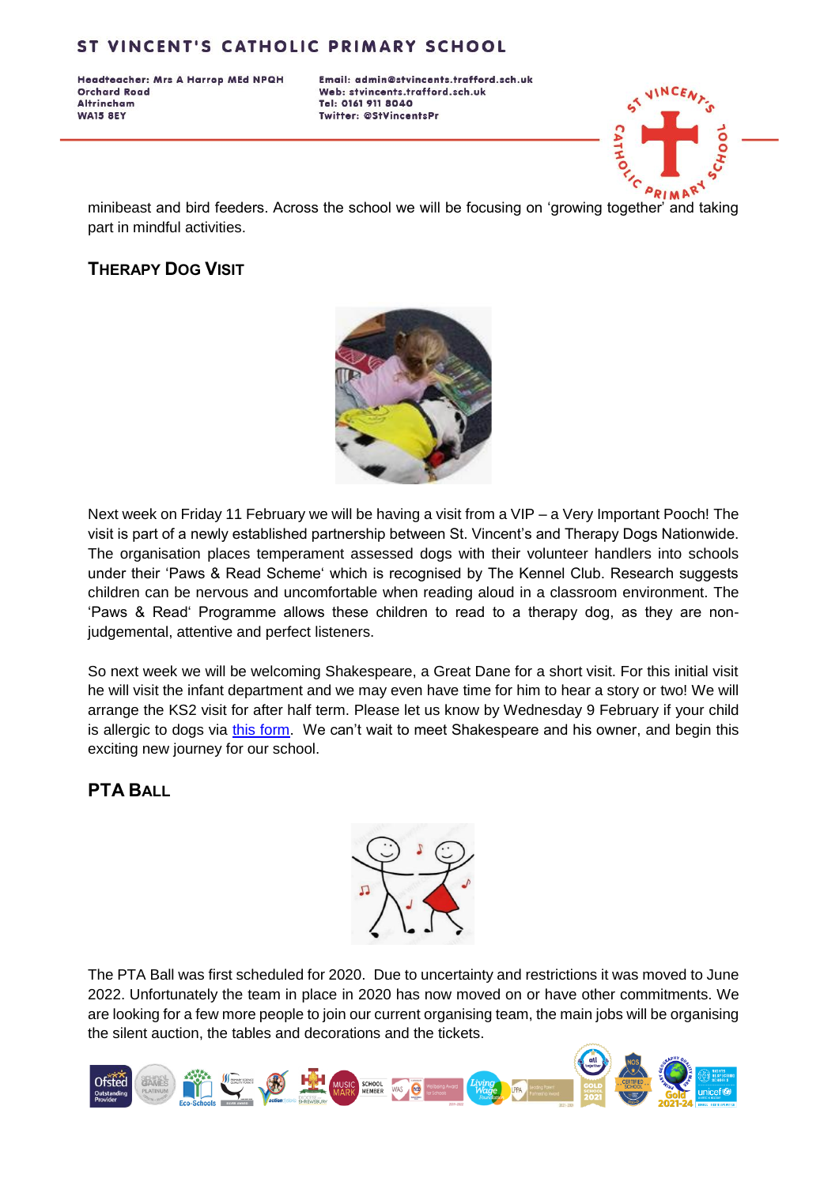Headteacher: Mrs A Harrop MEd NPQH **Orchard Road Altrincham WA15 8EY** 

Email: admin@stvincents.trafford.sch.uk Web: stvincents.trafford.sch.uk Tel: 0161 911 8040 Twitter: @StVincentsPr



minibeast and bird feeders. Across the school we will be focusing on 'growing together' and taking part in mindful activities.

# **THERAPY DOG VISIT**



Next week on Friday 11 February we will be having a visit from a VIP – a Very Important Pooch! The visit is part of a newly established partnership between St. Vincent's and Therapy Dogs Nationwide. The organisation places temperament assessed dogs with their volunteer handlers into schools under their 'Paws & Read Scheme' which is recognised by The Kennel Club. Research suggests children can be nervous and uncomfortable when reading aloud in a classroom environment. The 'Paws & Read' Programme allows these children to read to a therapy dog, as they are nonjudgemental, attentive and perfect listeners.

So next week we will be welcoming Shakespeare, a Great Dane for a short visit. For this initial visit he will visit the infant department and we may even have time for him to hear a story or two! We will arrange the KS2 visit for after half term. Please let us know by Wednesday 9 February if your child is allergic to dogs via [this form.](https://forms.office.com/r/M8Zgwr30Lu) We can't wait to meet Shakespeare and his owner, and begin this exciting new journey for our school.

### **PTA BALL**



The PTA Ball was first scheduled for 2020. Due to uncertainty and restrictions it was moved to June 2022. Unfortunately the team in place in 2020 has now moved on or have other commitments. We are looking for a few more people to join our current organising team, the main jobs will be organising the silent auction, the tables and decorations and the tickets.